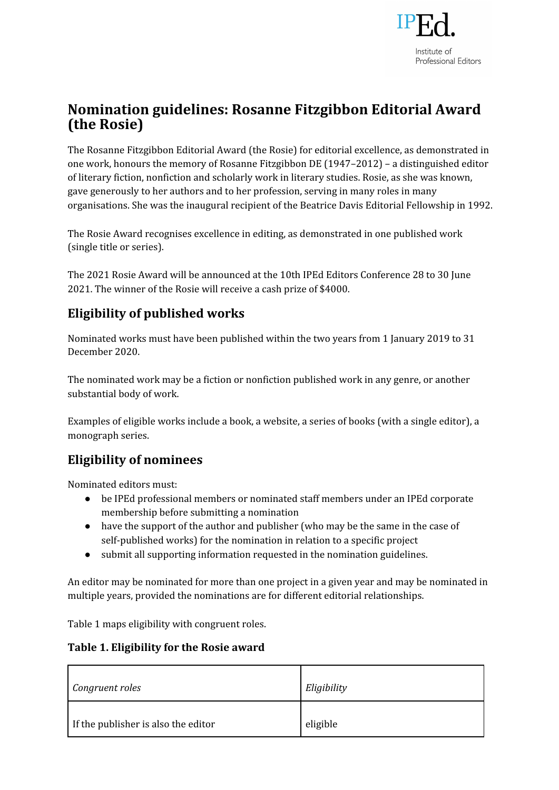

# **Nomination guidelines: Rosanne Fitzgibbon Editorial Award (the Rosie)**

The Rosanne Fitzgibbon Editorial Award (the Rosie) for editorial excellence, as demonstrated in one work, honours the memory of Rosanne Fitzgibbon DE (1947–2012) – a distinguished editor of literary fiction, nonfiction and scholarly work in literary studies. Rosie, as she was known, gave generously to her authors and to her profession, serving in many roles in many organisations. She was the inaugural recipient of the Beatrice Davis Editorial Fellowship in 1992.

The Rosie Award recognises excellence in editing, as demonstrated in one published work (single title or series).

The 2021 Rosie Award will be announced at the 10th IPEd Editors Conference 28 to 30 June 2021. The winner of the Rosie will receive a cash prize of \$4000.

## **Eligibility of published works**

Nominated works must have been published within the two years from 1 January 2019 to 31 December 2020.

The nominated work may be a fiction or nonfiction published work in any genre, or another substantial body of work.

Examples of eligible works include a book, a website, a series of books (with a single editor), a monograph series.

## **Eligibility of nominees**

Nominated editors must:

- be IPEd professional members or nominated staff members under an IPEd corporate membership before submitting a nomination
- have the support of the author and publisher (who may be the same in the case of self-published works) for the nomination in relation to a specific project
- submit all supporting information requested in the nomination guidelines.

An editor may be nominated for more than one project in a given year and may be nominated in multiple years, provided the nominations are for different editorial relationships.

Table 1 maps eligibility with congruent roles.

#### **Table 1. Eligibility for the Rosie award**

| Congruent roles                     | Eligibility |
|-------------------------------------|-------------|
| If the publisher is also the editor | eligible    |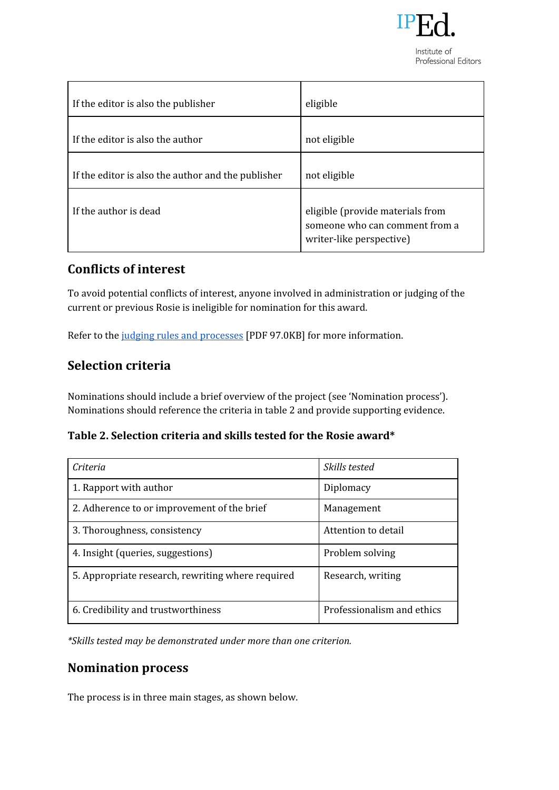

Professional Editors

| If the editor is also the publisher                | eligible                                                                                       |
|----------------------------------------------------|------------------------------------------------------------------------------------------------|
| If the editor is also the author                   | not eligible                                                                                   |
| If the editor is also the author and the publisher | not eligible                                                                                   |
| If the author is dead                              | eligible (provide materials from<br>someone who can comment from a<br>writer-like perspective) |

## **Conflicts of interest**

To avoid potential conflicts of interest, anyone involved in administration or judging of the current or previous Rosie is ineligible for nomination for this award.

Refer to the judging rules and [processes](http://iped-editors.org/site/DefaultSite/filesystem/documents/2021%20Rosie%20award/Judging%20rules%20and%20processes%20Rosie%202021_FINAL_revised.pdf) [PDF 97.0KB] for more information.

### **Selection criteria**

Nominations should include a brief overview of the project (see 'Nomination process'). Nominations should reference the criteria in table 2 and provide supporting evidence.

**Table 2. Selection criteria and skills tested for the Rosie award\***

| Criteria                                          | Skills tested              |
|---------------------------------------------------|----------------------------|
| 1. Rapport with author                            | Diplomacy                  |
| 2. Adherence to or improvement of the brief       | Management                 |
| 3. Thoroughness, consistency                      | Attention to detail        |
| 4. Insight (queries, suggestions)                 | Problem solving            |
| 5. Appropriate research, rewriting where required | Research, writing          |
| 6. Credibility and trustworthiness                | Professionalism and ethics |

*\*Skills tested may be demonstrated under more than one criterion.*

### **Nomination process**

The process is in three main stages, as shown below.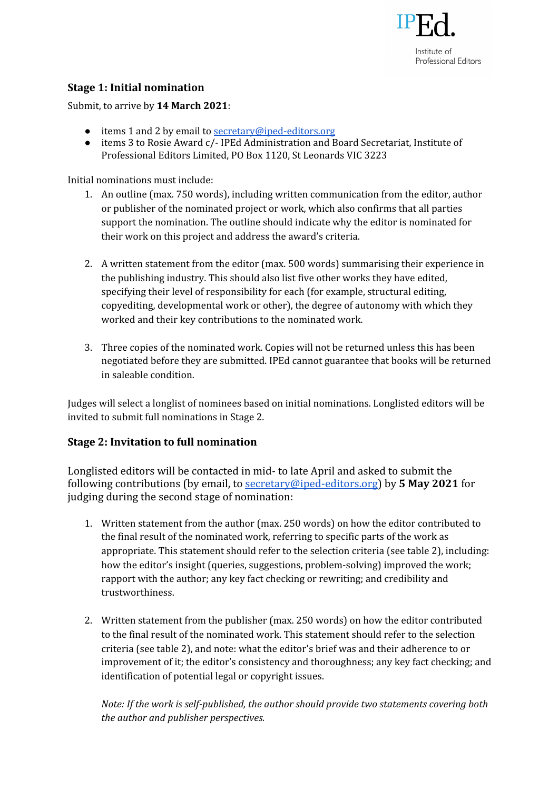

### **Stage 1: Initial nomination**

Submit, to arrive by **14 March 2021**:

- items 1 and 2 by email to [secretary@iped-editors.org](mailto:secretary@iped-editors.org)
- items 3 to Rosie Award c/- IPEd Administration and Board Secretariat, Institute of Professional Editors Limited, PO Box 1120, St Leonards VIC 3223

Initial nominations must include:

- 1. An outline (max. 750 words), including written communication from the editor, author or publisher of the nominated project or work, which also confirms that all parties support the nomination. The outline should indicate why the editor is nominated for their work on this project and address the award's criteria.
- 2. A written statement from the editor (max. 500 words) summarising their experience in the publishing industry. This should also list five other works they have edited, specifying their level of responsibility for each (for example, structural editing, copyediting, developmental work or other), the degree of autonomy with which they worked and their key contributions to the nominated work.
- 3. Three copies of the nominated work. Copies will not be returned unless this has been negotiated before they are submitted. IPEd cannot guarantee that books will be returned in saleable condition.

Judges will select a longlist of nominees based on initial nominations. Longlisted editors will be invited to submit full nominations in Stage 2.

#### **Stage 2: Invitation to full nomination**

Longlisted editors will be contacted in mid- to late April and asked to submit the following contributions (by email, to [secretary@iped-editors.org\)](mailto:secretary@iped-editors.org) by **5 May 2021** for judging during the second stage of nomination:

- 1. Written statement from the author (max. 250 words) on how the editor contributed to the final result of the nominated work, referring to specific parts of the work as appropriate. This statement should refer to the selection criteria (see table 2), including: how the editor's insight (queries, suggestions, problem-solving) improved the work; rapport with the author; any key fact checking or rewriting; and credibility and trustworthiness.
- 2. Written statement from the publisher (max. 250 words) on how the editor contributed to the final result of the nominated work. This statement should refer to the selection criteria (see table 2), and note: what the editor's brief was and their adherence to or improvement of it; the editor's consistency and thoroughness; any key fact checking; and identification of potential legal or copyright issues.

*Note: If the work is self-published, the author should provide two statements covering both the author and publisher perspectives.*